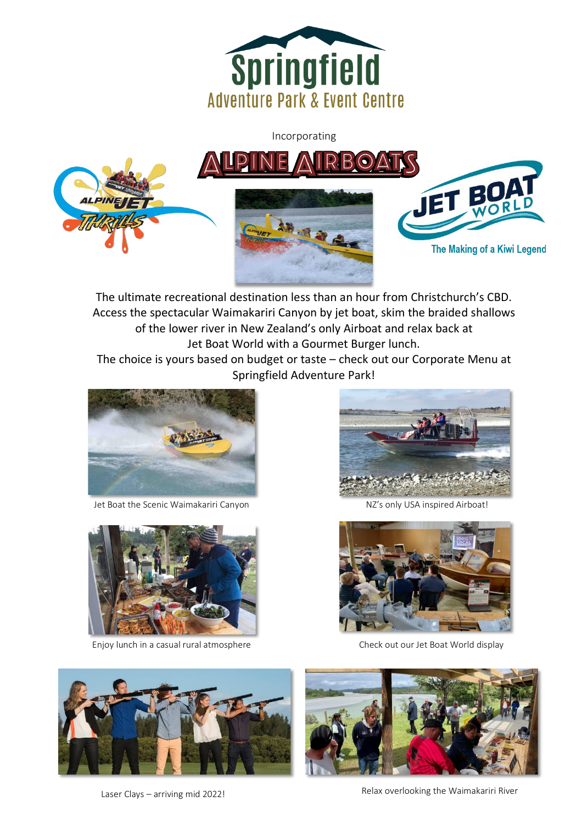

Incorporating



The ultimate recreational destination less than an hour from Christchurch's CBD. Access the spectacular Waimakariri Canyon by jet boat, skim the braided shallows of the lower river in New Zealand's only Airboat and relax back at Jet Boat World with a Gourmet Burger lunch.

Î

The choice is yours based on budget or taste – check out our Corporate Menu at Springfield Adventure Park!



Jet Boat the Scenic Waimakariri Canyon National NAC's only USA inspired Airboat!



Enjoy lunch in a casual rural atmosphere





Check out our Jet Boat World display







Relax overlooking the Waimakariri River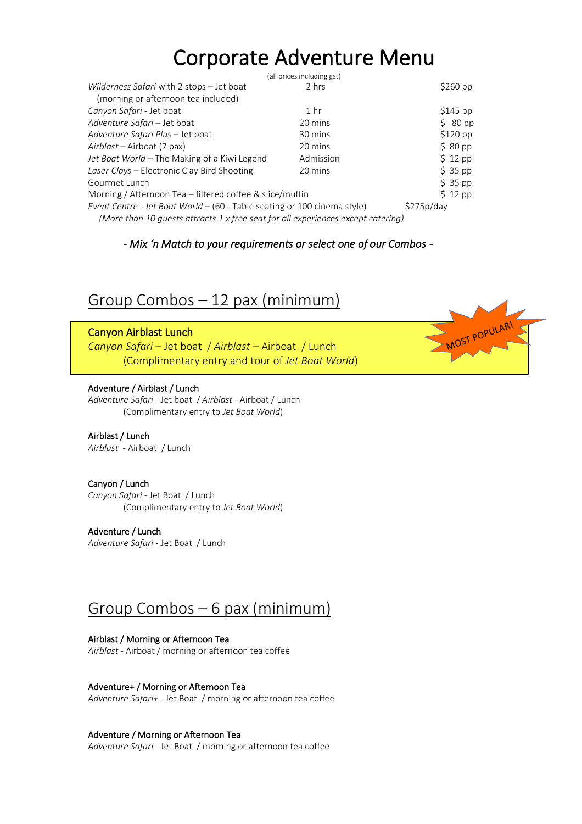# Corporate Adventure Menu

|                                                                                  | (all prices including gst) |                    |
|----------------------------------------------------------------------------------|----------------------------|--------------------|
| Wilderness Safari with 2 stops - Jet boat                                        | 2 hrs                      | $$260$ pp          |
| (morning or afternoon tea included)                                              |                            |                    |
| Canyon Safari - Jet boat                                                         | 1 <sub>hr</sub>            | $$145$ pp          |
| Adventure Safari - Jet boat                                                      | 20 mins                    | $$80\,\mathrm{pp}$ |
| Adventure Safari Plus - Jet boat                                                 | 30 mins                    | $$120$ pp          |
| Airblast - Airboat (7 pax)                                                       | 20 mins                    | \$80~pp            |
| Jet Boat World - The Making of a Kiwi Legend                                     | Admission                  | $$12$ pp           |
| Laser Clays - Electronic Clay Bird Shooting                                      | 20 mins                    | $$35$ pp           |
| Gourmet Lunch                                                                    |                            | $$35$ pp           |
| Morning / Afternoon Tea – filtered coffee & slice/muffin                         |                            | $$12$ pp           |
| Event Centre - Jet Boat World - (60 - Table seating or 100 cinema style)         |                            | \$275p/day         |
| (More than 10 guests attracts 1 x free seat for all experiences except catering) |                            |                    |

#### *- Mix 'n Match to your requirements or select one of our Combos -*

MOST POPULARI

## Group Combos – 12 pax (minimum)

#### Canyon Airblast Lunch

*Canyon Safari* – Jet boat / *Airblast* – Airboat / Lunch (Complimentary entry and tour of *Jet Boat World*)

#### Adventure / Airblast / Lunch

*Adventure Safari* - Jet boat / *Airblast -* Airboat / Lunch (Complimentary entry to *Jet Boat World*)

#### Airblast / Lunch

*Airblast* - Airboat / Lunch

#### Canyon / Lunch

*Canyon Safari -* Jet Boat / Lunch (Complimentary entry to *Jet Boat World*)

#### Adventure / Lunch

*Adventure Safari* - Jet Boat / Lunch

### Group Combos – 6 pax (minimum)

#### Airblast / Morning or Afternoon Tea

*Airblast -* Airboat / morning or afternoon tea coffee

#### Adventure+ / Morning or Afternoon Tea

*Adventure Safari+* - Jet Boat / morning or afternoon tea coffee

#### Adventure / Morning or Afternoon Tea

*Adventure Safari* - Jet Boat / morning or afternoon tea coffee